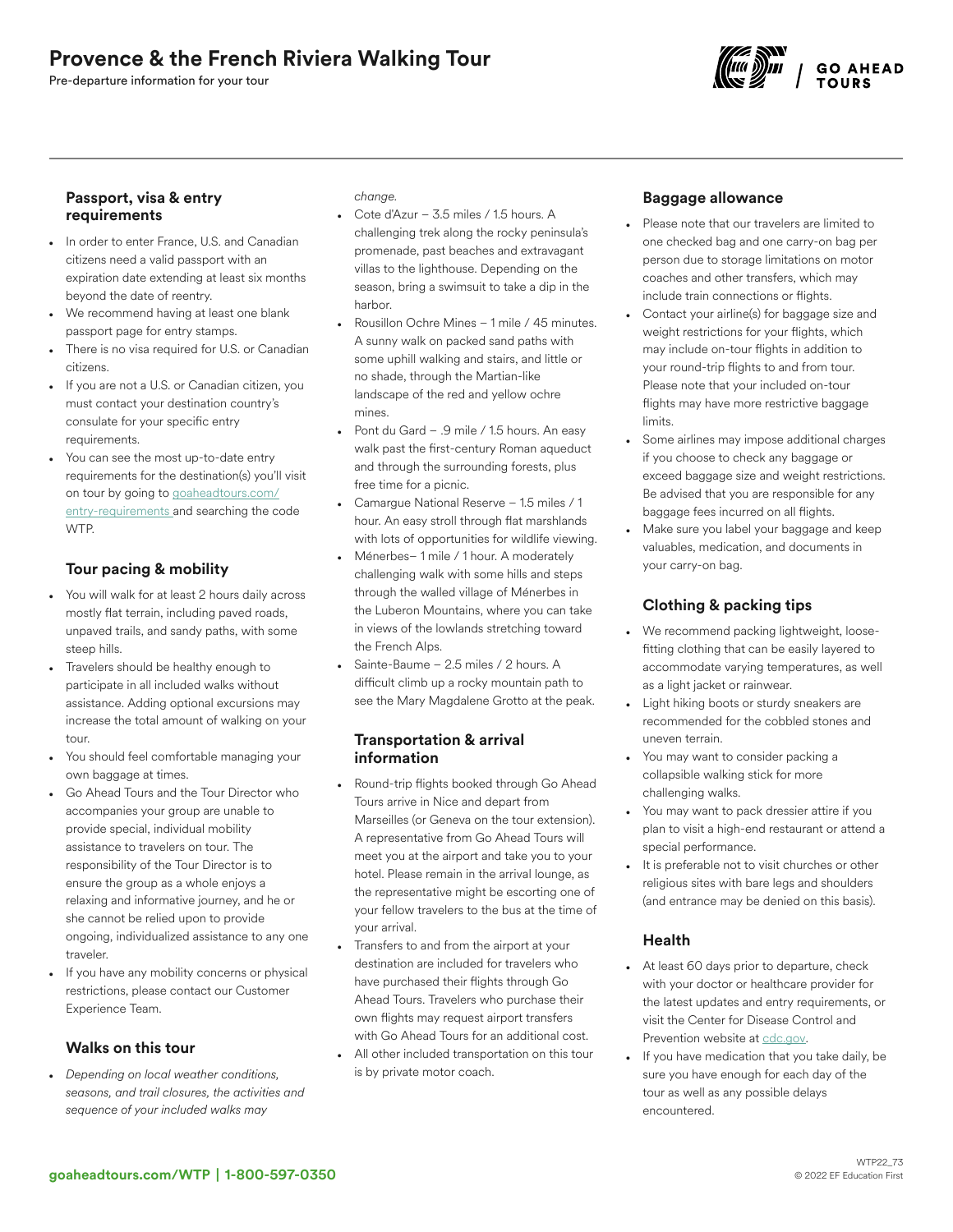# Provence & the French Riviera Walking Tour

Pre-departure information for your tour



### Passport, visa & entry requirements

- In order to enter France, U.S. and Canadian citizens need a valid passport with an expiration date extending at least six months beyond the date of reentry.
- We recommend having at least one blank passport page for entry stamps.
- There is no visa required for U.S. or Canadian citizens.
- If you are not a U.S. or Canadian citizen, you must contact your destination country's consulate for your specific entry requirements.
- You can see the most up-to-date entry requirements for the destination(s) you'll visit on tour by going to [goaheadtours.com/](/entry-requirements?tourCode=WTP) [entry-requirements](/entry-requirements?tourCode=WTP) and searching the code WTP.

# Tour pacing & mobility

- You will walk for at least 2 hours daily across mostly flat terrain, including paved roads, unpaved trails, and sandy paths, with some steep hills.
- Travelers should be healthy enough to participate in all included walks without assistance. Adding optional excursions may increase the total amount of walking on your tour.
- You should feel comfortable managing your own baggage at times.
- Go Ahead Tours and the Tour Director who accompanies your group are unable to provide special, individual mobility assistance to travelers on tour. The responsibility of the Tour Director is to ensure the group as a whole enjoys a relaxing and informative journey, and he or she cannot be relied upon to provide ongoing, individualized assistance to any one traveler.
- If you have any mobility concerns or physical restrictions, please contact our Customer Experience Team.

### Walks on this tour

• *Depending on local weather conditions, seasons, and trail closures, the activities and sequence of your included walks may*

*change.*

- Cote d'Azur 3.5 miles / 1.5 hours. A challenging trek along the rocky peninsula's promenade, past beaches and extravagant villas to the lighthouse. Depending on the season, bring a swimsuit to take a dip in the harbor.
- Rousillon Ochre Mines 1 mile / 45 minutes. A sunny walk on packed sand paths with some uphill walking and stairs, and little or no shade, through the Martian-like landscape of the red and yellow ochre mines.
- Pont du Gard .9 mile / 1.5 hours. An easy walk past the first-century Roman aqueduct and through the surrounding forests, plus free time for a picnic.
- Camargue National Reserve 1.5 miles / 1 hour. An easy stroll through flat marshlands with lots of opportunities for wildlife viewing.
- Ménerbes– 1 mile / 1 hour. A moderately challenging walk with some hills and steps through the walled village of Ménerbes in the Luberon Mountains, where you can take in views of the lowlands stretching toward the French Alps.
- Sainte-Baume 2.5 miles / 2 hours. A difficult climb up a rocky mountain path to see the Mary Magdalene Grotto at the peak.

### Transportation & arrival information

- Round-trip flights booked through Go Ahead Tours arrive in Nice and depart from Marseilles (or Geneva on the tour extension). A representative from Go Ahead Tours will meet you at the airport and take you to your hotel. Please remain in the arrival lounge, as the representative might be escorting one of your fellow travelers to the bus at the time of your arrival.
- Transfers to and from the airport at your destination are included for travelers who have purchased their flights through Go Ahead Tours. Travelers who purchase their own flights may request airport transfers with Go Ahead Tours for an additional cost.
- All other included transportation on this tour is by private motor coach.

# Baggage allowance

- Please note that our travelers are limited to one checked bag and one carry-on bag per person due to storage limitations on motor coaches and other transfers, which may include train connections or flights.
- Contact your airline(s) for baggage size and weight restrictions for your flights, which may include on-tour flights in addition to your round-trip flights to and from tour. Please note that your included on-tour flights may have more restrictive baggage limits.
- Some airlines may impose additional charges if you choose to check any baggage or exceed baggage size and weight restrictions. Be advised that you are responsible for any baggage fees incurred on all flights.
- Make sure you label your baggage and keep valuables, medication, and documents in your carry-on bag.

# Clothing & packing tips

- We recommend packing lightweight, loosefitting clothing that can be easily layered to accommodate varying temperatures, as well as a light jacket or rainwear.
- Light hiking boots or sturdy sneakers are recommended for the cobbled stones and uneven terrain.
- You may want to consider packing a collapsible walking stick for more challenging walks.
- You may want to pack dressier attire if you plan to visit a high-end restaurant or attend a special performance.
- It is preferable not to visit churches or other religious sites with bare legs and shoulders (and entrance may be denied on this basis).

# Health

- At least 60 days prior to departure, check with your doctor or healthcare provider for the latest updates and entry requirements, or visit the Center for Disease Control and Prevention website at [cdc.gov.](https://www.cdc.gov/)
- If you have medication that you take daily, be sure you have enough for each day of the tour as well as any possible delays encountered.